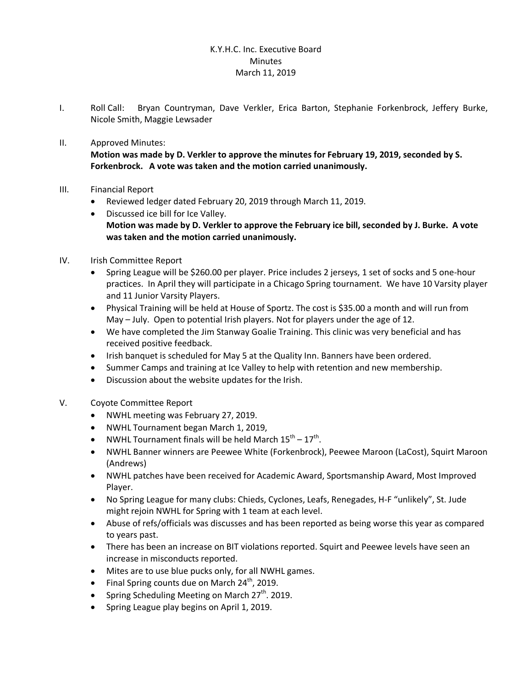## K.Y.H.C. Inc. Executive Board **Minutes** March 11, 2019

- I. Roll Call: Bryan Countryman, Dave Verkler, Erica Barton, Stephanie Forkenbrock, Jeffery Burke, Nicole Smith, Maggie Lewsader
- II. Approved Minutes:

**Motion was made by D. Verkler to approve the minutes for February 19, 2019, seconded by S. Forkenbrock. A vote was taken and the motion carried unanimously.**

- III. Financial Report
	- · Reviewed ledger dated February 20, 2019 through March 11, 2019.
	- · Discussed ice bill for Ice Valley. **Motion was made by D. Verkler to approve the February ice bill, seconded by J. Burke. A vote was taken and the motion carried unanimously.**

## IV. Irish Committee Report

- · Spring League will be \$260.00 per player. Price includes 2 jerseys, 1 set of socks and 5 one-hour practices. In April they will participate in a Chicago Spring tournament. We have 10 Varsity player and 11 Junior Varsity Players.
- · Physical Training will be held at House of Sportz. The cost is \$35.00 a month and will run from May – July. Open to potential Irish players. Not for players under the age of 12.
- · We have completed the Jim Stanway Goalie Training. This clinic was very beneficial and has received positive feedback.
- · Irish banquet is scheduled for May 5 at the Quality Inn. Banners have been ordered.
- · Summer Camps and training at Ice Valley to help with retention and new membership.
- Discussion about the website updates for the Irish.
- V. Coyote Committee Report
	- · NWHL meeting was February 27, 2019.
	- · NWHL Tournament began March 1, 2019,
	- NWHL Tournament finals will be held March  $15^{th} 17^{th}$ .
	- · NWHL Banner winners are Peewee White (Forkenbrock), Peewee Maroon (LaCost), Squirt Maroon (Andrews)
	- · NWHL patches have been received for Academic Award, Sportsmanship Award, Most Improved Player.
	- · No Spring League for many clubs: Chieds, Cyclones, Leafs, Renegades, H-F "unlikely", St. Jude might rejoin NWHL for Spring with 1 team at each level.
	- · Abuse of refs/officials was discusses and has been reported as being worse this year as compared to years past.
	- · There has been an increase on BIT violations reported. Squirt and Peewee levels have seen an increase in misconducts reported.
	- · Mites are to use blue pucks only, for all NWHL games.
	- Final Spring counts due on March  $24^{th}$ , 2019.
	- Spring Scheduling Meeting on March  $27<sup>th</sup>$ . 2019.
	- · Spring League play begins on April 1, 2019.